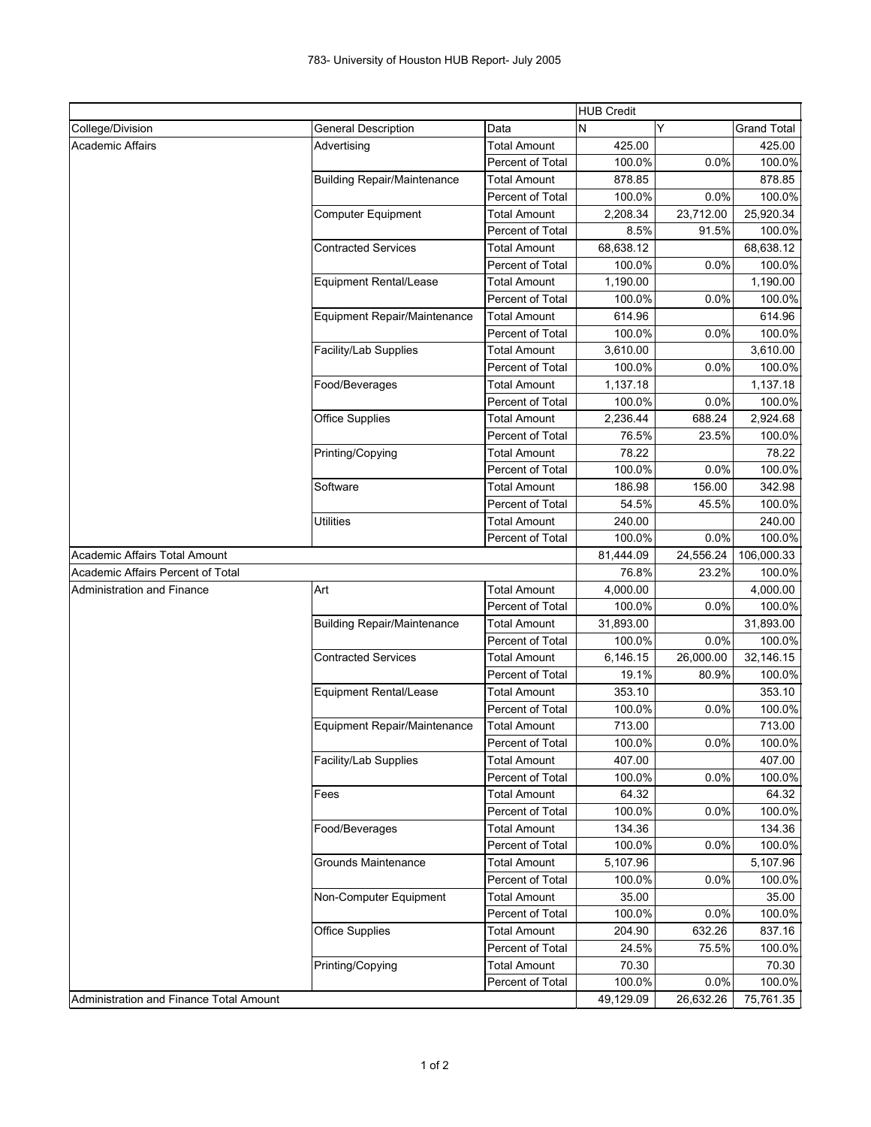| Y<br>Data<br><b>Grand Total</b><br>College/Division<br><b>General Description</b><br>N<br><b>Academic Affairs</b><br><b>Total Amount</b><br>425.00<br>425.00<br>Advertising<br>100.0%<br>0.0%<br>Percent of Total<br>100.0%<br><b>Building Repair/Maintenance</b><br><b>Total Amount</b><br>878.85<br>878.85<br>Percent of Total<br>100.0%<br>0.0%<br>100.0%<br>23,712.00<br>25,920.34<br><b>Computer Equipment</b><br>Total Amount<br>2,208.34<br>Percent of Total<br>8.5%<br>91.5%<br>100.0%<br>68,638.12<br><b>Contracted Services</b><br><b>Total Amount</b><br>68,638.12<br>Percent of Total<br>100.0%<br>0.0%<br>100.0%<br><b>Total Amount</b><br>1,190.00<br><b>Equipment Rental/Lease</b><br>1,190.00<br>Percent of Total<br>100.0%<br>0.0%<br>100.0%<br>Equipment Repair/Maintenance<br><b>Total Amount</b><br>614.96<br>614.96<br>Percent of Total<br>100.0%<br>0.0%<br>100.0%<br>Facility/Lab Supplies<br><b>Total Amount</b><br>3,610.00<br>3,610.00<br>Percent of Total<br>100.0%<br>0.0%<br>100.0%<br><b>Total Amount</b><br>Food/Beverages<br>1,137.18<br>1,137.18<br>Percent of Total<br>100.0%<br>0.0%<br>100.0%<br><b>Office Supplies</b><br><b>Total Amount</b><br>2,236.44<br>688.24<br>2,924.68<br>Percent of Total<br>76.5%<br>23.5%<br>100.0%<br><b>Total Amount</b><br>78.22<br>78.22<br>Printing/Copying<br>Percent of Total<br>100.0%<br>0.0%<br>100.0%<br>Software<br><b>Total Amount</b><br>186.98<br>156.00<br>342.98<br>Percent of Total<br>54.5%<br>45.5%<br>100.0%<br><b>Total Amount</b><br>240.00<br>240.00<br>Utilities<br>100.0%<br>0.0%<br>100.0%<br>Percent of Total<br>Academic Affairs Total Amount<br>81,444.09<br>24,556.24<br>106,000.33<br>Academic Affairs Percent of Total<br>76.8%<br>23.2%<br>100.0%<br><b>Administration and Finance</b><br>Art<br><b>Total Amount</b><br>4,000.00<br>4,000.00<br>Percent of Total<br>100.0%<br>0.0%<br>100.0%<br><b>Total Amount</b><br>31,893.00<br>31,893.00<br><b>Building Repair/Maintenance</b><br>Percent of Total<br>100.0%<br>0.0%<br>100.0%<br><b>Contracted Services</b><br>6,146.15<br>26,000.00<br>32,146.15<br>Total Amount<br>Percent of Total<br>19.1%<br>80.9%<br>100.0%<br><b>Total Amount</b><br>353.10<br><b>Equipment Rental/Lease</b><br>353.10<br>Percent of Total<br>100.0%<br>0.0%<br>100.0%<br>Equipment Repair/Maintenance<br><b>Total Amount</b><br>713.00<br>713.00<br>Percent of Total<br>100.0%<br>0.0%<br>100.0%<br>Facility/Lab Supplies<br><b>Total Amount</b><br>407.00<br>407.00<br>Percent of Total<br>0.0%<br>100.0%<br>100.0%<br><b>Total Amount</b><br>64.32<br>64.32<br>Fees<br>Percent of Total<br>100.0%<br>0.0%<br>100.0%<br>134.36<br>Food/Beverages<br><b>Total Amount</b><br>134.36<br>100.0%<br>0.0%<br>Percent of Total<br>100.0%<br>Grounds Maintenance<br><b>Total Amount</b><br>5,107.96<br>5,107.96<br>Percent of Total<br>100.0%<br>0.0%<br>100.0%<br>Non-Computer Equipment<br><b>Total Amount</b><br>35.00<br>35.00<br>Percent of Total<br>0.0%<br>100.0%<br>100.0%<br><b>Office Supplies</b><br><b>Total Amount</b><br>204.90<br>632.26<br>837.16<br>Percent of Total<br>24.5%<br>75.5%<br>100.0%<br><b>Total Amount</b><br>70.30<br>Printing/Copying<br>70.30<br>100.0%<br>0.0%<br>Percent of Total<br>100.0%<br>Administration and Finance Total Amount<br>49,129.09<br>26,632.26<br>75,761.35 |  |  |  | <b>HUB Credit</b> |  |  |
|--------------------------------------------------------------------------------------------------------------------------------------------------------------------------------------------------------------------------------------------------------------------------------------------------------------------------------------------------------------------------------------------------------------------------------------------------------------------------------------------------------------------------------------------------------------------------------------------------------------------------------------------------------------------------------------------------------------------------------------------------------------------------------------------------------------------------------------------------------------------------------------------------------------------------------------------------------------------------------------------------------------------------------------------------------------------------------------------------------------------------------------------------------------------------------------------------------------------------------------------------------------------------------------------------------------------------------------------------------------------------------------------------------------------------------------------------------------------------------------------------------------------------------------------------------------------------------------------------------------------------------------------------------------------------------------------------------------------------------------------------------------------------------------------------------------------------------------------------------------------------------------------------------------------------------------------------------------------------------------------------------------------------------------------------------------------------------------------------------------------------------------------------------------------------------------------------------------------------------------------------------------------------------------------------------------------------------------------------------------------------------------------------------------------------------------------------------------------------------------------------------------------------------------------------------------------------------------------------------------------------------------------------------------------------------------------------------------------------------------------------------------------------------------------------------------------------------------------------------------------------------------------------------------------------------------------------------------------------------------------------------------------------------------------------------------------------------------------------------------------------------------------------------------------------------------------------------------------------------------------------------------------------------------------------------------------------------------------|--|--|--|-------------------|--|--|
|                                                                                                                                                                                                                                                                                                                                                                                                                                                                                                                                                                                                                                                                                                                                                                                                                                                                                                                                                                                                                                                                                                                                                                                                                                                                                                                                                                                                                                                                                                                                                                                                                                                                                                                                                                                                                                                                                                                                                                                                                                                                                                                                                                                                                                                                                                                                                                                                                                                                                                                                                                                                                                                                                                                                                                                                                                                                                                                                                                                                                                                                                                                                                                                                                                                                                                                                            |  |  |  |                   |  |  |
|                                                                                                                                                                                                                                                                                                                                                                                                                                                                                                                                                                                                                                                                                                                                                                                                                                                                                                                                                                                                                                                                                                                                                                                                                                                                                                                                                                                                                                                                                                                                                                                                                                                                                                                                                                                                                                                                                                                                                                                                                                                                                                                                                                                                                                                                                                                                                                                                                                                                                                                                                                                                                                                                                                                                                                                                                                                                                                                                                                                                                                                                                                                                                                                                                                                                                                                                            |  |  |  |                   |  |  |
|                                                                                                                                                                                                                                                                                                                                                                                                                                                                                                                                                                                                                                                                                                                                                                                                                                                                                                                                                                                                                                                                                                                                                                                                                                                                                                                                                                                                                                                                                                                                                                                                                                                                                                                                                                                                                                                                                                                                                                                                                                                                                                                                                                                                                                                                                                                                                                                                                                                                                                                                                                                                                                                                                                                                                                                                                                                                                                                                                                                                                                                                                                                                                                                                                                                                                                                                            |  |  |  |                   |  |  |
|                                                                                                                                                                                                                                                                                                                                                                                                                                                                                                                                                                                                                                                                                                                                                                                                                                                                                                                                                                                                                                                                                                                                                                                                                                                                                                                                                                                                                                                                                                                                                                                                                                                                                                                                                                                                                                                                                                                                                                                                                                                                                                                                                                                                                                                                                                                                                                                                                                                                                                                                                                                                                                                                                                                                                                                                                                                                                                                                                                                                                                                                                                                                                                                                                                                                                                                                            |  |  |  |                   |  |  |
|                                                                                                                                                                                                                                                                                                                                                                                                                                                                                                                                                                                                                                                                                                                                                                                                                                                                                                                                                                                                                                                                                                                                                                                                                                                                                                                                                                                                                                                                                                                                                                                                                                                                                                                                                                                                                                                                                                                                                                                                                                                                                                                                                                                                                                                                                                                                                                                                                                                                                                                                                                                                                                                                                                                                                                                                                                                                                                                                                                                                                                                                                                                                                                                                                                                                                                                                            |  |  |  |                   |  |  |
|                                                                                                                                                                                                                                                                                                                                                                                                                                                                                                                                                                                                                                                                                                                                                                                                                                                                                                                                                                                                                                                                                                                                                                                                                                                                                                                                                                                                                                                                                                                                                                                                                                                                                                                                                                                                                                                                                                                                                                                                                                                                                                                                                                                                                                                                                                                                                                                                                                                                                                                                                                                                                                                                                                                                                                                                                                                                                                                                                                                                                                                                                                                                                                                                                                                                                                                                            |  |  |  |                   |  |  |
|                                                                                                                                                                                                                                                                                                                                                                                                                                                                                                                                                                                                                                                                                                                                                                                                                                                                                                                                                                                                                                                                                                                                                                                                                                                                                                                                                                                                                                                                                                                                                                                                                                                                                                                                                                                                                                                                                                                                                                                                                                                                                                                                                                                                                                                                                                                                                                                                                                                                                                                                                                                                                                                                                                                                                                                                                                                                                                                                                                                                                                                                                                                                                                                                                                                                                                                                            |  |  |  |                   |  |  |
|                                                                                                                                                                                                                                                                                                                                                                                                                                                                                                                                                                                                                                                                                                                                                                                                                                                                                                                                                                                                                                                                                                                                                                                                                                                                                                                                                                                                                                                                                                                                                                                                                                                                                                                                                                                                                                                                                                                                                                                                                                                                                                                                                                                                                                                                                                                                                                                                                                                                                                                                                                                                                                                                                                                                                                                                                                                                                                                                                                                                                                                                                                                                                                                                                                                                                                                                            |  |  |  |                   |  |  |
|                                                                                                                                                                                                                                                                                                                                                                                                                                                                                                                                                                                                                                                                                                                                                                                                                                                                                                                                                                                                                                                                                                                                                                                                                                                                                                                                                                                                                                                                                                                                                                                                                                                                                                                                                                                                                                                                                                                                                                                                                                                                                                                                                                                                                                                                                                                                                                                                                                                                                                                                                                                                                                                                                                                                                                                                                                                                                                                                                                                                                                                                                                                                                                                                                                                                                                                                            |  |  |  |                   |  |  |
|                                                                                                                                                                                                                                                                                                                                                                                                                                                                                                                                                                                                                                                                                                                                                                                                                                                                                                                                                                                                                                                                                                                                                                                                                                                                                                                                                                                                                                                                                                                                                                                                                                                                                                                                                                                                                                                                                                                                                                                                                                                                                                                                                                                                                                                                                                                                                                                                                                                                                                                                                                                                                                                                                                                                                                                                                                                                                                                                                                                                                                                                                                                                                                                                                                                                                                                                            |  |  |  |                   |  |  |
|                                                                                                                                                                                                                                                                                                                                                                                                                                                                                                                                                                                                                                                                                                                                                                                                                                                                                                                                                                                                                                                                                                                                                                                                                                                                                                                                                                                                                                                                                                                                                                                                                                                                                                                                                                                                                                                                                                                                                                                                                                                                                                                                                                                                                                                                                                                                                                                                                                                                                                                                                                                                                                                                                                                                                                                                                                                                                                                                                                                                                                                                                                                                                                                                                                                                                                                                            |  |  |  |                   |  |  |
|                                                                                                                                                                                                                                                                                                                                                                                                                                                                                                                                                                                                                                                                                                                                                                                                                                                                                                                                                                                                                                                                                                                                                                                                                                                                                                                                                                                                                                                                                                                                                                                                                                                                                                                                                                                                                                                                                                                                                                                                                                                                                                                                                                                                                                                                                                                                                                                                                                                                                                                                                                                                                                                                                                                                                                                                                                                                                                                                                                                                                                                                                                                                                                                                                                                                                                                                            |  |  |  |                   |  |  |
|                                                                                                                                                                                                                                                                                                                                                                                                                                                                                                                                                                                                                                                                                                                                                                                                                                                                                                                                                                                                                                                                                                                                                                                                                                                                                                                                                                                                                                                                                                                                                                                                                                                                                                                                                                                                                                                                                                                                                                                                                                                                                                                                                                                                                                                                                                                                                                                                                                                                                                                                                                                                                                                                                                                                                                                                                                                                                                                                                                                                                                                                                                                                                                                                                                                                                                                                            |  |  |  |                   |  |  |
|                                                                                                                                                                                                                                                                                                                                                                                                                                                                                                                                                                                                                                                                                                                                                                                                                                                                                                                                                                                                                                                                                                                                                                                                                                                                                                                                                                                                                                                                                                                                                                                                                                                                                                                                                                                                                                                                                                                                                                                                                                                                                                                                                                                                                                                                                                                                                                                                                                                                                                                                                                                                                                                                                                                                                                                                                                                                                                                                                                                                                                                                                                                                                                                                                                                                                                                                            |  |  |  |                   |  |  |
|                                                                                                                                                                                                                                                                                                                                                                                                                                                                                                                                                                                                                                                                                                                                                                                                                                                                                                                                                                                                                                                                                                                                                                                                                                                                                                                                                                                                                                                                                                                                                                                                                                                                                                                                                                                                                                                                                                                                                                                                                                                                                                                                                                                                                                                                                                                                                                                                                                                                                                                                                                                                                                                                                                                                                                                                                                                                                                                                                                                                                                                                                                                                                                                                                                                                                                                                            |  |  |  |                   |  |  |
|                                                                                                                                                                                                                                                                                                                                                                                                                                                                                                                                                                                                                                                                                                                                                                                                                                                                                                                                                                                                                                                                                                                                                                                                                                                                                                                                                                                                                                                                                                                                                                                                                                                                                                                                                                                                                                                                                                                                                                                                                                                                                                                                                                                                                                                                                                                                                                                                                                                                                                                                                                                                                                                                                                                                                                                                                                                                                                                                                                                                                                                                                                                                                                                                                                                                                                                                            |  |  |  |                   |  |  |
|                                                                                                                                                                                                                                                                                                                                                                                                                                                                                                                                                                                                                                                                                                                                                                                                                                                                                                                                                                                                                                                                                                                                                                                                                                                                                                                                                                                                                                                                                                                                                                                                                                                                                                                                                                                                                                                                                                                                                                                                                                                                                                                                                                                                                                                                                                                                                                                                                                                                                                                                                                                                                                                                                                                                                                                                                                                                                                                                                                                                                                                                                                                                                                                                                                                                                                                                            |  |  |  |                   |  |  |
|                                                                                                                                                                                                                                                                                                                                                                                                                                                                                                                                                                                                                                                                                                                                                                                                                                                                                                                                                                                                                                                                                                                                                                                                                                                                                                                                                                                                                                                                                                                                                                                                                                                                                                                                                                                                                                                                                                                                                                                                                                                                                                                                                                                                                                                                                                                                                                                                                                                                                                                                                                                                                                                                                                                                                                                                                                                                                                                                                                                                                                                                                                                                                                                                                                                                                                                                            |  |  |  |                   |  |  |
|                                                                                                                                                                                                                                                                                                                                                                                                                                                                                                                                                                                                                                                                                                                                                                                                                                                                                                                                                                                                                                                                                                                                                                                                                                                                                                                                                                                                                                                                                                                                                                                                                                                                                                                                                                                                                                                                                                                                                                                                                                                                                                                                                                                                                                                                                                                                                                                                                                                                                                                                                                                                                                                                                                                                                                                                                                                                                                                                                                                                                                                                                                                                                                                                                                                                                                                                            |  |  |  |                   |  |  |
|                                                                                                                                                                                                                                                                                                                                                                                                                                                                                                                                                                                                                                                                                                                                                                                                                                                                                                                                                                                                                                                                                                                                                                                                                                                                                                                                                                                                                                                                                                                                                                                                                                                                                                                                                                                                                                                                                                                                                                                                                                                                                                                                                                                                                                                                                                                                                                                                                                                                                                                                                                                                                                                                                                                                                                                                                                                                                                                                                                                                                                                                                                                                                                                                                                                                                                                                            |  |  |  |                   |  |  |
|                                                                                                                                                                                                                                                                                                                                                                                                                                                                                                                                                                                                                                                                                                                                                                                                                                                                                                                                                                                                                                                                                                                                                                                                                                                                                                                                                                                                                                                                                                                                                                                                                                                                                                                                                                                                                                                                                                                                                                                                                                                                                                                                                                                                                                                                                                                                                                                                                                                                                                                                                                                                                                                                                                                                                                                                                                                                                                                                                                                                                                                                                                                                                                                                                                                                                                                                            |  |  |  |                   |  |  |
|                                                                                                                                                                                                                                                                                                                                                                                                                                                                                                                                                                                                                                                                                                                                                                                                                                                                                                                                                                                                                                                                                                                                                                                                                                                                                                                                                                                                                                                                                                                                                                                                                                                                                                                                                                                                                                                                                                                                                                                                                                                                                                                                                                                                                                                                                                                                                                                                                                                                                                                                                                                                                                                                                                                                                                                                                                                                                                                                                                                                                                                                                                                                                                                                                                                                                                                                            |  |  |  |                   |  |  |
|                                                                                                                                                                                                                                                                                                                                                                                                                                                                                                                                                                                                                                                                                                                                                                                                                                                                                                                                                                                                                                                                                                                                                                                                                                                                                                                                                                                                                                                                                                                                                                                                                                                                                                                                                                                                                                                                                                                                                                                                                                                                                                                                                                                                                                                                                                                                                                                                                                                                                                                                                                                                                                                                                                                                                                                                                                                                                                                                                                                                                                                                                                                                                                                                                                                                                                                                            |  |  |  |                   |  |  |
|                                                                                                                                                                                                                                                                                                                                                                                                                                                                                                                                                                                                                                                                                                                                                                                                                                                                                                                                                                                                                                                                                                                                                                                                                                                                                                                                                                                                                                                                                                                                                                                                                                                                                                                                                                                                                                                                                                                                                                                                                                                                                                                                                                                                                                                                                                                                                                                                                                                                                                                                                                                                                                                                                                                                                                                                                                                                                                                                                                                                                                                                                                                                                                                                                                                                                                                                            |  |  |  |                   |  |  |
|                                                                                                                                                                                                                                                                                                                                                                                                                                                                                                                                                                                                                                                                                                                                                                                                                                                                                                                                                                                                                                                                                                                                                                                                                                                                                                                                                                                                                                                                                                                                                                                                                                                                                                                                                                                                                                                                                                                                                                                                                                                                                                                                                                                                                                                                                                                                                                                                                                                                                                                                                                                                                                                                                                                                                                                                                                                                                                                                                                                                                                                                                                                                                                                                                                                                                                                                            |  |  |  |                   |  |  |
|                                                                                                                                                                                                                                                                                                                                                                                                                                                                                                                                                                                                                                                                                                                                                                                                                                                                                                                                                                                                                                                                                                                                                                                                                                                                                                                                                                                                                                                                                                                                                                                                                                                                                                                                                                                                                                                                                                                                                                                                                                                                                                                                                                                                                                                                                                                                                                                                                                                                                                                                                                                                                                                                                                                                                                                                                                                                                                                                                                                                                                                                                                                                                                                                                                                                                                                                            |  |  |  |                   |  |  |
|                                                                                                                                                                                                                                                                                                                                                                                                                                                                                                                                                                                                                                                                                                                                                                                                                                                                                                                                                                                                                                                                                                                                                                                                                                                                                                                                                                                                                                                                                                                                                                                                                                                                                                                                                                                                                                                                                                                                                                                                                                                                                                                                                                                                                                                                                                                                                                                                                                                                                                                                                                                                                                                                                                                                                                                                                                                                                                                                                                                                                                                                                                                                                                                                                                                                                                                                            |  |  |  |                   |  |  |
|                                                                                                                                                                                                                                                                                                                                                                                                                                                                                                                                                                                                                                                                                                                                                                                                                                                                                                                                                                                                                                                                                                                                                                                                                                                                                                                                                                                                                                                                                                                                                                                                                                                                                                                                                                                                                                                                                                                                                                                                                                                                                                                                                                                                                                                                                                                                                                                                                                                                                                                                                                                                                                                                                                                                                                                                                                                                                                                                                                                                                                                                                                                                                                                                                                                                                                                                            |  |  |  |                   |  |  |
|                                                                                                                                                                                                                                                                                                                                                                                                                                                                                                                                                                                                                                                                                                                                                                                                                                                                                                                                                                                                                                                                                                                                                                                                                                                                                                                                                                                                                                                                                                                                                                                                                                                                                                                                                                                                                                                                                                                                                                                                                                                                                                                                                                                                                                                                                                                                                                                                                                                                                                                                                                                                                                                                                                                                                                                                                                                                                                                                                                                                                                                                                                                                                                                                                                                                                                                                            |  |  |  |                   |  |  |
|                                                                                                                                                                                                                                                                                                                                                                                                                                                                                                                                                                                                                                                                                                                                                                                                                                                                                                                                                                                                                                                                                                                                                                                                                                                                                                                                                                                                                                                                                                                                                                                                                                                                                                                                                                                                                                                                                                                                                                                                                                                                                                                                                                                                                                                                                                                                                                                                                                                                                                                                                                                                                                                                                                                                                                                                                                                                                                                                                                                                                                                                                                                                                                                                                                                                                                                                            |  |  |  |                   |  |  |
|                                                                                                                                                                                                                                                                                                                                                                                                                                                                                                                                                                                                                                                                                                                                                                                                                                                                                                                                                                                                                                                                                                                                                                                                                                                                                                                                                                                                                                                                                                                                                                                                                                                                                                                                                                                                                                                                                                                                                                                                                                                                                                                                                                                                                                                                                                                                                                                                                                                                                                                                                                                                                                                                                                                                                                                                                                                                                                                                                                                                                                                                                                                                                                                                                                                                                                                                            |  |  |  |                   |  |  |
|                                                                                                                                                                                                                                                                                                                                                                                                                                                                                                                                                                                                                                                                                                                                                                                                                                                                                                                                                                                                                                                                                                                                                                                                                                                                                                                                                                                                                                                                                                                                                                                                                                                                                                                                                                                                                                                                                                                                                                                                                                                                                                                                                                                                                                                                                                                                                                                                                                                                                                                                                                                                                                                                                                                                                                                                                                                                                                                                                                                                                                                                                                                                                                                                                                                                                                                                            |  |  |  |                   |  |  |
|                                                                                                                                                                                                                                                                                                                                                                                                                                                                                                                                                                                                                                                                                                                                                                                                                                                                                                                                                                                                                                                                                                                                                                                                                                                                                                                                                                                                                                                                                                                                                                                                                                                                                                                                                                                                                                                                                                                                                                                                                                                                                                                                                                                                                                                                                                                                                                                                                                                                                                                                                                                                                                                                                                                                                                                                                                                                                                                                                                                                                                                                                                                                                                                                                                                                                                                                            |  |  |  |                   |  |  |
|                                                                                                                                                                                                                                                                                                                                                                                                                                                                                                                                                                                                                                                                                                                                                                                                                                                                                                                                                                                                                                                                                                                                                                                                                                                                                                                                                                                                                                                                                                                                                                                                                                                                                                                                                                                                                                                                                                                                                                                                                                                                                                                                                                                                                                                                                                                                                                                                                                                                                                                                                                                                                                                                                                                                                                                                                                                                                                                                                                                                                                                                                                                                                                                                                                                                                                                                            |  |  |  |                   |  |  |
|                                                                                                                                                                                                                                                                                                                                                                                                                                                                                                                                                                                                                                                                                                                                                                                                                                                                                                                                                                                                                                                                                                                                                                                                                                                                                                                                                                                                                                                                                                                                                                                                                                                                                                                                                                                                                                                                                                                                                                                                                                                                                                                                                                                                                                                                                                                                                                                                                                                                                                                                                                                                                                                                                                                                                                                                                                                                                                                                                                                                                                                                                                                                                                                                                                                                                                                                            |  |  |  |                   |  |  |
|                                                                                                                                                                                                                                                                                                                                                                                                                                                                                                                                                                                                                                                                                                                                                                                                                                                                                                                                                                                                                                                                                                                                                                                                                                                                                                                                                                                                                                                                                                                                                                                                                                                                                                                                                                                                                                                                                                                                                                                                                                                                                                                                                                                                                                                                                                                                                                                                                                                                                                                                                                                                                                                                                                                                                                                                                                                                                                                                                                                                                                                                                                                                                                                                                                                                                                                                            |  |  |  |                   |  |  |
|                                                                                                                                                                                                                                                                                                                                                                                                                                                                                                                                                                                                                                                                                                                                                                                                                                                                                                                                                                                                                                                                                                                                                                                                                                                                                                                                                                                                                                                                                                                                                                                                                                                                                                                                                                                                                                                                                                                                                                                                                                                                                                                                                                                                                                                                                                                                                                                                                                                                                                                                                                                                                                                                                                                                                                                                                                                                                                                                                                                                                                                                                                                                                                                                                                                                                                                                            |  |  |  |                   |  |  |
|                                                                                                                                                                                                                                                                                                                                                                                                                                                                                                                                                                                                                                                                                                                                                                                                                                                                                                                                                                                                                                                                                                                                                                                                                                                                                                                                                                                                                                                                                                                                                                                                                                                                                                                                                                                                                                                                                                                                                                                                                                                                                                                                                                                                                                                                                                                                                                                                                                                                                                                                                                                                                                                                                                                                                                                                                                                                                                                                                                                                                                                                                                                                                                                                                                                                                                                                            |  |  |  |                   |  |  |
|                                                                                                                                                                                                                                                                                                                                                                                                                                                                                                                                                                                                                                                                                                                                                                                                                                                                                                                                                                                                                                                                                                                                                                                                                                                                                                                                                                                                                                                                                                                                                                                                                                                                                                                                                                                                                                                                                                                                                                                                                                                                                                                                                                                                                                                                                                                                                                                                                                                                                                                                                                                                                                                                                                                                                                                                                                                                                                                                                                                                                                                                                                                                                                                                                                                                                                                                            |  |  |  |                   |  |  |
|                                                                                                                                                                                                                                                                                                                                                                                                                                                                                                                                                                                                                                                                                                                                                                                                                                                                                                                                                                                                                                                                                                                                                                                                                                                                                                                                                                                                                                                                                                                                                                                                                                                                                                                                                                                                                                                                                                                                                                                                                                                                                                                                                                                                                                                                                                                                                                                                                                                                                                                                                                                                                                                                                                                                                                                                                                                                                                                                                                                                                                                                                                                                                                                                                                                                                                                                            |  |  |  |                   |  |  |
|                                                                                                                                                                                                                                                                                                                                                                                                                                                                                                                                                                                                                                                                                                                                                                                                                                                                                                                                                                                                                                                                                                                                                                                                                                                                                                                                                                                                                                                                                                                                                                                                                                                                                                                                                                                                                                                                                                                                                                                                                                                                                                                                                                                                                                                                                                                                                                                                                                                                                                                                                                                                                                                                                                                                                                                                                                                                                                                                                                                                                                                                                                                                                                                                                                                                                                                                            |  |  |  |                   |  |  |
|                                                                                                                                                                                                                                                                                                                                                                                                                                                                                                                                                                                                                                                                                                                                                                                                                                                                                                                                                                                                                                                                                                                                                                                                                                                                                                                                                                                                                                                                                                                                                                                                                                                                                                                                                                                                                                                                                                                                                                                                                                                                                                                                                                                                                                                                                                                                                                                                                                                                                                                                                                                                                                                                                                                                                                                                                                                                                                                                                                                                                                                                                                                                                                                                                                                                                                                                            |  |  |  |                   |  |  |
|                                                                                                                                                                                                                                                                                                                                                                                                                                                                                                                                                                                                                                                                                                                                                                                                                                                                                                                                                                                                                                                                                                                                                                                                                                                                                                                                                                                                                                                                                                                                                                                                                                                                                                                                                                                                                                                                                                                                                                                                                                                                                                                                                                                                                                                                                                                                                                                                                                                                                                                                                                                                                                                                                                                                                                                                                                                                                                                                                                                                                                                                                                                                                                                                                                                                                                                                            |  |  |  |                   |  |  |
|                                                                                                                                                                                                                                                                                                                                                                                                                                                                                                                                                                                                                                                                                                                                                                                                                                                                                                                                                                                                                                                                                                                                                                                                                                                                                                                                                                                                                                                                                                                                                                                                                                                                                                                                                                                                                                                                                                                                                                                                                                                                                                                                                                                                                                                                                                                                                                                                                                                                                                                                                                                                                                                                                                                                                                                                                                                                                                                                                                                                                                                                                                                                                                                                                                                                                                                                            |  |  |  |                   |  |  |
|                                                                                                                                                                                                                                                                                                                                                                                                                                                                                                                                                                                                                                                                                                                                                                                                                                                                                                                                                                                                                                                                                                                                                                                                                                                                                                                                                                                                                                                                                                                                                                                                                                                                                                                                                                                                                                                                                                                                                                                                                                                                                                                                                                                                                                                                                                                                                                                                                                                                                                                                                                                                                                                                                                                                                                                                                                                                                                                                                                                                                                                                                                                                                                                                                                                                                                                                            |  |  |  |                   |  |  |
|                                                                                                                                                                                                                                                                                                                                                                                                                                                                                                                                                                                                                                                                                                                                                                                                                                                                                                                                                                                                                                                                                                                                                                                                                                                                                                                                                                                                                                                                                                                                                                                                                                                                                                                                                                                                                                                                                                                                                                                                                                                                                                                                                                                                                                                                                                                                                                                                                                                                                                                                                                                                                                                                                                                                                                                                                                                                                                                                                                                                                                                                                                                                                                                                                                                                                                                                            |  |  |  |                   |  |  |
|                                                                                                                                                                                                                                                                                                                                                                                                                                                                                                                                                                                                                                                                                                                                                                                                                                                                                                                                                                                                                                                                                                                                                                                                                                                                                                                                                                                                                                                                                                                                                                                                                                                                                                                                                                                                                                                                                                                                                                                                                                                                                                                                                                                                                                                                                                                                                                                                                                                                                                                                                                                                                                                                                                                                                                                                                                                                                                                                                                                                                                                                                                                                                                                                                                                                                                                                            |  |  |  |                   |  |  |
|                                                                                                                                                                                                                                                                                                                                                                                                                                                                                                                                                                                                                                                                                                                                                                                                                                                                                                                                                                                                                                                                                                                                                                                                                                                                                                                                                                                                                                                                                                                                                                                                                                                                                                                                                                                                                                                                                                                                                                                                                                                                                                                                                                                                                                                                                                                                                                                                                                                                                                                                                                                                                                                                                                                                                                                                                                                                                                                                                                                                                                                                                                                                                                                                                                                                                                                                            |  |  |  |                   |  |  |
|                                                                                                                                                                                                                                                                                                                                                                                                                                                                                                                                                                                                                                                                                                                                                                                                                                                                                                                                                                                                                                                                                                                                                                                                                                                                                                                                                                                                                                                                                                                                                                                                                                                                                                                                                                                                                                                                                                                                                                                                                                                                                                                                                                                                                                                                                                                                                                                                                                                                                                                                                                                                                                                                                                                                                                                                                                                                                                                                                                                                                                                                                                                                                                                                                                                                                                                                            |  |  |  |                   |  |  |
|                                                                                                                                                                                                                                                                                                                                                                                                                                                                                                                                                                                                                                                                                                                                                                                                                                                                                                                                                                                                                                                                                                                                                                                                                                                                                                                                                                                                                                                                                                                                                                                                                                                                                                                                                                                                                                                                                                                                                                                                                                                                                                                                                                                                                                                                                                                                                                                                                                                                                                                                                                                                                                                                                                                                                                                                                                                                                                                                                                                                                                                                                                                                                                                                                                                                                                                                            |  |  |  |                   |  |  |
|                                                                                                                                                                                                                                                                                                                                                                                                                                                                                                                                                                                                                                                                                                                                                                                                                                                                                                                                                                                                                                                                                                                                                                                                                                                                                                                                                                                                                                                                                                                                                                                                                                                                                                                                                                                                                                                                                                                                                                                                                                                                                                                                                                                                                                                                                                                                                                                                                                                                                                                                                                                                                                                                                                                                                                                                                                                                                                                                                                                                                                                                                                                                                                                                                                                                                                                                            |  |  |  |                   |  |  |